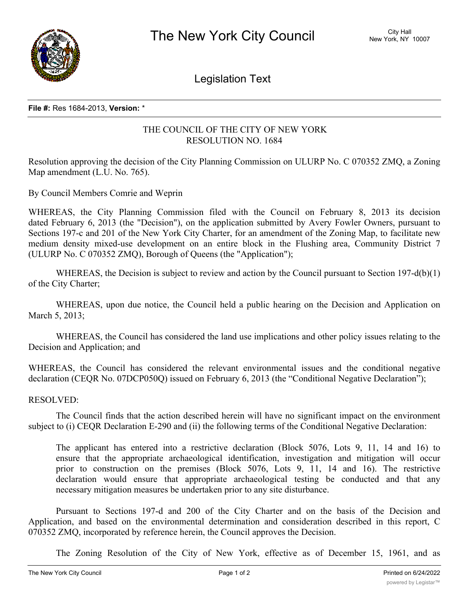

Legislation Text

## **File #:** Res 1684-2013, **Version:** \*

## THE COUNCIL OF THE CITY OF NEW YORK RESOLUTION NO. 1684

Resolution approving the decision of the City Planning Commission on ULURP No. C 070352 ZMQ, a Zoning Map amendment (L.U. No. 765).

By Council Members Comrie and Weprin

WHEREAS, the City Planning Commission filed with the Council on February 8, 2013 its decision dated February 6, 2013 (the "Decision"), on the application submitted by Avery Fowler Owners, pursuant to Sections 197-c and 201 of the New York City Charter, for an amendment of the Zoning Map, to facilitate new medium density mixed-use development on an entire block in the Flushing area, Community District 7 (ULURP No. C 070352 ZMQ), Borough of Queens (the "Application");

WHEREAS, the Decision is subject to review and action by the Council pursuant to Section 197-d(b)(1) of the City Charter;

WHEREAS, upon due notice, the Council held a public hearing on the Decision and Application on March 5, 2013;

WHEREAS, the Council has considered the land use implications and other policy issues relating to the Decision and Application; and

WHEREAS, the Council has considered the relevant environmental issues and the conditional negative declaration (CEQR No. 07DCP050Q) issued on February 6, 2013 (the "Conditional Negative Declaration");

## RESOLVED:

The Council finds that the action described herein will have no significant impact on the environment subject to (i) CEQR Declaration E-290 and (ii) the following terms of the Conditional Negative Declaration:

The applicant has entered into a restrictive declaration (Block 5076, Lots 9, 11, 14 and 16) to ensure that the appropriate archaeological identification, investigation and mitigation will occur prior to construction on the premises (Block 5076, Lots 9, 11, 14 and 16). The restrictive declaration would ensure that appropriate archaeological testing be conducted and that any necessary mitigation measures be undertaken prior to any site disturbance.

Pursuant to Sections 197-d and 200 of the City Charter and on the basis of the Decision and Application, and based on the environmental determination and consideration described in this report, C 070352 ZMQ, incorporated by reference herein, the Council approves the Decision.

The Zoning Resolution of the City of New York, effective as of December 15, 1961, and as